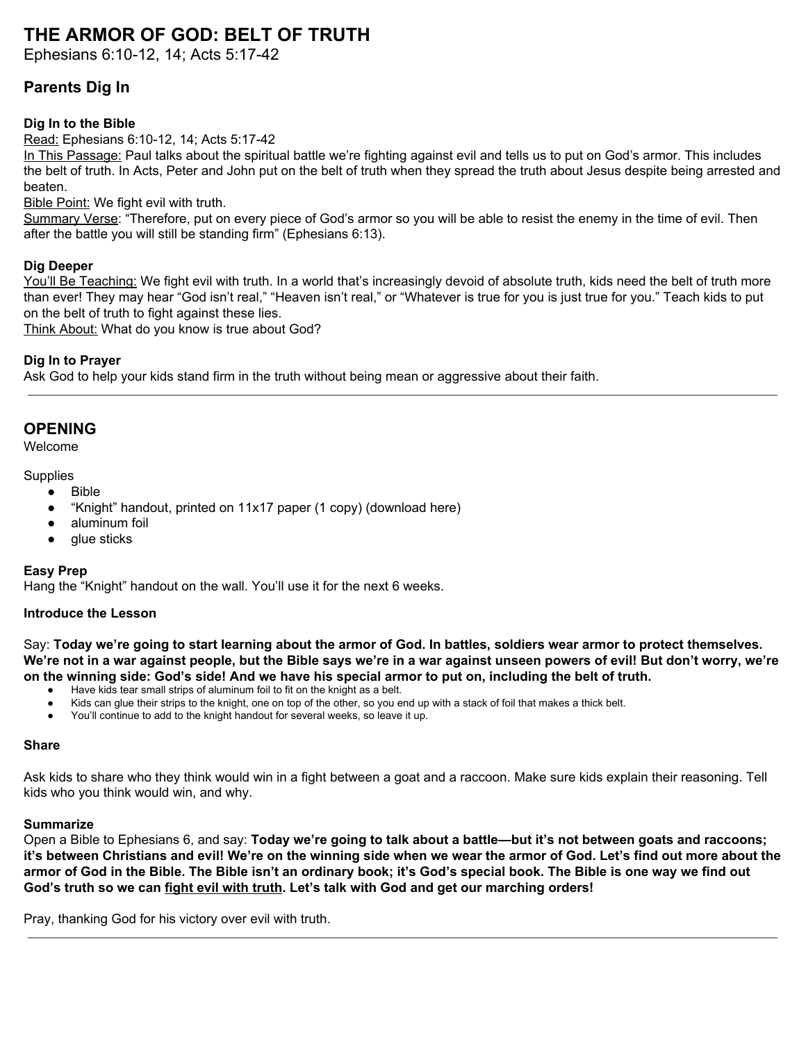# **THE ARMOR OF GOD: BELT OF TRUTH**

Ephesians 6:10-12, 14; Acts 5:17-42

# **Parents Dig In**

### **Dig In to the Bible**

Read: Ephesians 6:10-12, 14; Acts 5:17-42

In This Passage: Paul talks about the spiritual battle we're fighting against evil and tells us to put on God's armor. This includes the belt of truth. In Acts, Peter and John put on the belt of truth when they spread the truth about Jesus despite being arrested and beaten.

**Bible Point: We fight evil with truth.** 

Summary Verse: "Therefore, put on every piece of God's armor so you will be able to resist the enemy in the time of evil. Then after the battle you will still be standing firm" (Ephesians 6:13).

#### **Dig Deeper**

You'll Be Teaching: We fight evil with truth. In a world that's increasingly devoid of absolute truth, kids need the belt of truth more than ever! They may hear "God isn't real," "Heaven isn't real," or "Whatever is true for you is just true for you." Teach kids to put on the belt of truth to fight against these lies.

Think About: What do you know is true about God?

#### **Dig In to Prayer**

Ask God to help your kids stand firm in the truth without being mean or aggressive about their faith.

# **OPENING**

Welcome

#### **Supplies**

- Bible
	- "Knight" handout, printed on 11x17 paper (1 copy) (download here)
	- aluminum foil
	- alue sticks

#### **Easy Prep**

Hang the "Knight" handout on the wall. You'll use it for the next 6 weeks.

#### **Introduce the Lesson**

Say: Today we're going to start learning about the armor of God. In battles, soldiers wear armor to protect themselves. We're not in a war against people, but the Bible says we're in a war against unseen powers of evil! But don't worry, we're on the winning side: God's side! And we have his special armor to put on, including the belt of truth.

- Have kids tear small strips of aluminum foil to fit on the knight as a belt.
- Kids can glue their strips to the knight, one on top of the other, so you end up with a stack of foil that makes a thick belt.
- You'll continue to add to the knight handout for several weeks, so leave it up.

#### **Share**

Ask kids to share who they think would win in a fight between a goat and a raccoon. Make sure kids explain their reasoning. Tell kids who you think would win, and why.

#### **Summarize**

Open a Bible to Ephesians 6, and say: **Today we're going to talk about a battle—but it's not between goats and raccoons;** it's between Christians and evil! We're on the winning side when we wear the armor of God. Let's find out more about the armor of God in the Bible. The Bible isn't an ordinary book; it's God's special book. The Bible is one way we find out **God's truth so we can fight evil with truth. Let's talk with God and get our marching orders!**

Pray, thanking God for his victory over evil with truth.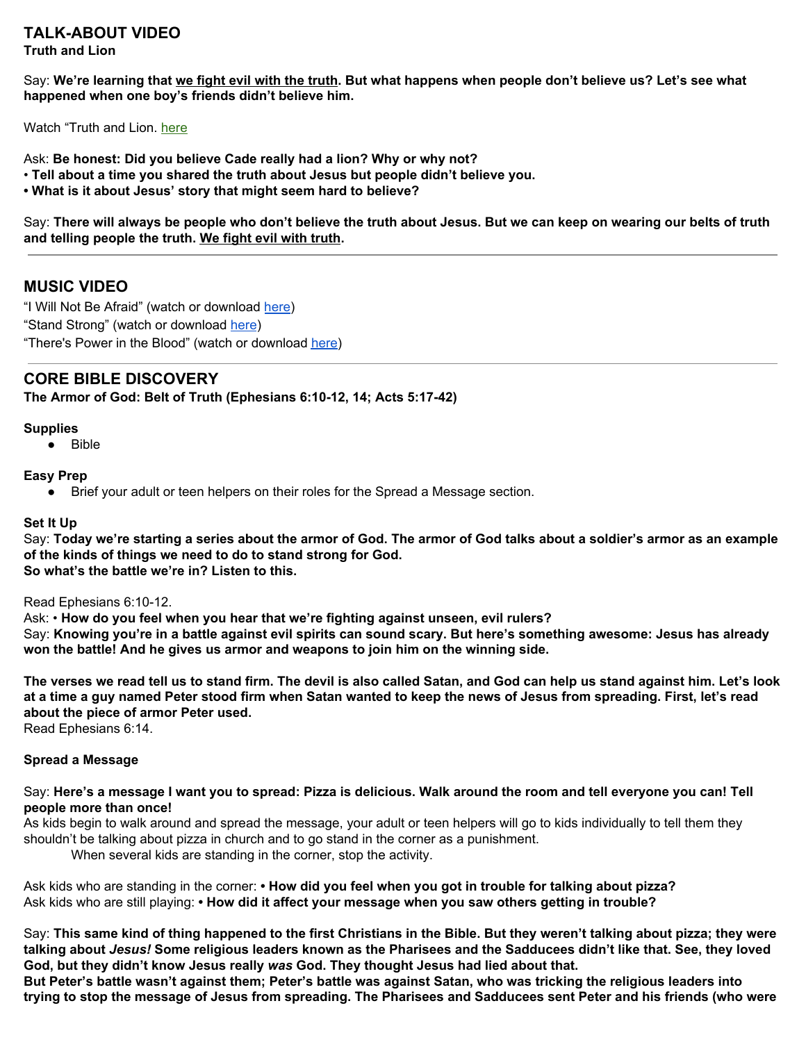#### **TALK-ABOUT VIDEO Truth and Lion**

Say: We're learning that we fight evil with the truth. But what happens when people don't believe us? Let's see what **happened when one boy's friends didn't believe him.**

Watch "Truth and Lion. [here](https://vimeo.com/showcase/6359811/video/365090930)

Ask: **Be honest: Did you believe Cade really had a lion? Why or why not?**

- **Tell about a time you shared the truth about Jesus but people didn't believe you.**
- **• What is it about Jesus' story that might seem hard to believe?**

Say: There will always be people who don't believe the truth about Jesus. But we can keep on wearing our belts of truth **and telling people the truth. We fight evil with truth.**

# **MUSIC VIDEO**

"I Will Not Be Afraid" (watch or download [here](https://vimeo.com/showcase/6359811/video/365090425)) "Stand Strong" (watch or download [here](https://vimeo.com/showcase/6359811/video/365090477)) "There's Power in the Blood" (watch or download [here](https://vimeo.com/showcase/6359811/video/365090468))

# **CORE BIBLE DISCOVERY**

**The Armor of God: Belt of Truth (Ephesians 6:10-12, 14; Acts 5:17-42)**

#### **Supplies**

● Bible

#### **Easy Prep**

● Brief your adult or teen helpers on their roles for the Spread a Message section.

#### **Set It Up**

Say: Today we're starting a series about the armor of God. The armor of God talks about a soldier's armor as an example **of the kinds of things we need to do to stand strong for God. So what's the battle we're in? Listen to this.**

#### Read Ephesians 6:10-12.

Ask: • **How do you feel when you hear that we're fighting against unseen, evil rulers?** Say: Knowing you're in a battle against evil spirits can sound scary. But here's something awesome: Jesus has already **won the battle! And he gives us armor and weapons to join him on the winning side.**

The verses we read tell us to stand firm. The devil is also called Satan, and God can help us stand against him. Let's look at a time a guy named Peter stood firm when Satan wanted to keep the news of Jesus from spreading. First, let's read **about the piece of armor Peter used.**

Read Ephesians 6:14.

#### **Spread a Message**

#### Say: Here's a message I want you to spread: Pizza is delicious. Walk around the room and tell everyone you can! Tell **people more than once!**

As kids begin to walk around and spread the message, your adult or teen helpers will go to kids individually to tell them they shouldn't be talking about pizza in church and to go stand in the corner as a punishment.

When several kids are standing in the corner, stop the activity.

Ask kids who are standing in the corner: **• How did you feel when you got in trouble for talking about pizza?** Ask kids who are still playing: **• How did it affect your message when you saw others getting in trouble?**

Say: This same kind of thing happened to the first Christians in the Bible. But they weren't talking about pizza; they were talking about Jesus! Some religious leaders known as the Pharisees and the Sadducees didn't like that. See, they loved **God, but they didn't know Jesus really** *was* **God. They thought Jesus had lied about that.**

But Peter's battle wasn't against them; Peter's battle was against Satan, who was tricking the religious leaders into trying to stop the message of Jesus from spreading. The Pharisees and Sadducees sent Peter and his friends (who were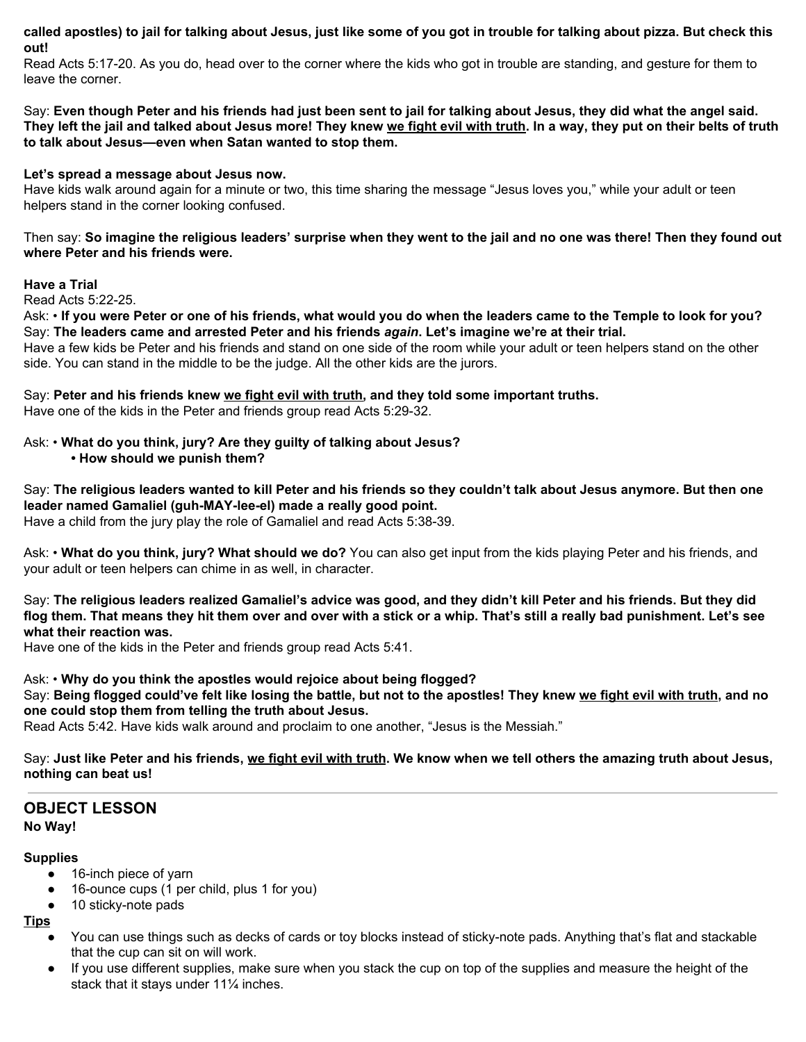called apostles) to jail for talking about Jesus, just like some of you got in trouble for talking about pizza. But check this **out!**

Read Acts 5:17-20. As you do, head over to the corner where the kids who got in trouble are standing, and gesture for them to leave the corner.

Say: Even though Peter and his friends had just been sent to jail for talking about Jesus, they did what the angel said. They left the jail and talked about Jesus more! They knew we fight evil with truth. In a way, they put on their belts of truth **to talk about Jesus—even when Satan wanted to stop them.**

#### **Let's spread a message about Jesus now.**

Have kids walk around again for a minute or two, this time sharing the message "Jesus loves you," while your adult or teen helpers stand in the corner looking confused.

Then say: So imagine the religious leaders' surprise when they went to the jail and no one was there! Then they found out **where Peter and his friends were.**

#### **Have a Trial**

Read Acts 5:22-25.

Ask: • If you were Peter or one of his friends, what would you do when the leaders came to the Temple to look for you? Say: **The leaders came and arrested Peter and his friends** *again***. Let's imagine we're at their trial.**

Have a few kids be Peter and his friends and stand on one side of the room while your adult or teen helpers stand on the other side. You can stand in the middle to be the judge. All the other kids are the jurors.

Say: **Peter and his friends knew we fight evil with truth, and they told some important truths.**

Have one of the kids in the Peter and friends group read Acts 5:29-32.

### Ask: • **What do you think, jury? Are they guilty of talking about Jesus?**

#### **• How should we punish them?**

Say: The religious leaders wanted to kill Peter and his friends so they couldn't talk about Jesus anymore. But then one **leader named Gamaliel (guh-MAY-lee-el) made a really good point.**

Have a child from the jury play the role of Gamaliel and read Acts 5:38-39.

Ask: • **What do you think, jury? What should we do?** You can also get input from the kids playing Peter and his friends, and your adult or teen helpers can chime in as well, in character.

Say: The religious leaders realized Gamaliel's advice was good, and they didn't kill Peter and his friends. But they did flog them. That means they hit them over and over with a stick or a whip. That's still a really bad punishment. Let's see **what their reaction was.**

Have one of the kids in the Peter and friends group read Acts 5:41.

Ask: • **Why do you think the apostles would rejoice about being flogged?** Say: Being flogged could've felt like losing the battle, but not to the apostles! They knew we fight evil with truth, and no **one could stop them from telling the truth about Jesus.**

Read Acts 5:42. Have kids walk around and proclaim to one another, "Jesus is the Messiah."

Say: Just like Peter and his friends, we fight evil with truth. We know when we tell others the amazing truth about Jesus, **nothing can beat us!**

# **OBJECT LESSON No Way!**

#### **Supplies**

- 16-inch piece of yarn
- 16-ounce cups (1 per child, plus 1 for you)
- 10 sticky-note pads
- **Tips**
	- You can use things such as decks of cards or toy blocks instead of sticky-note pads. Anything that's flat and stackable that the cup can sit on will work.
	- If you use different supplies, make sure when you stack the cup on top of the supplies and measure the height of the stack that it stays under 11¼ inches.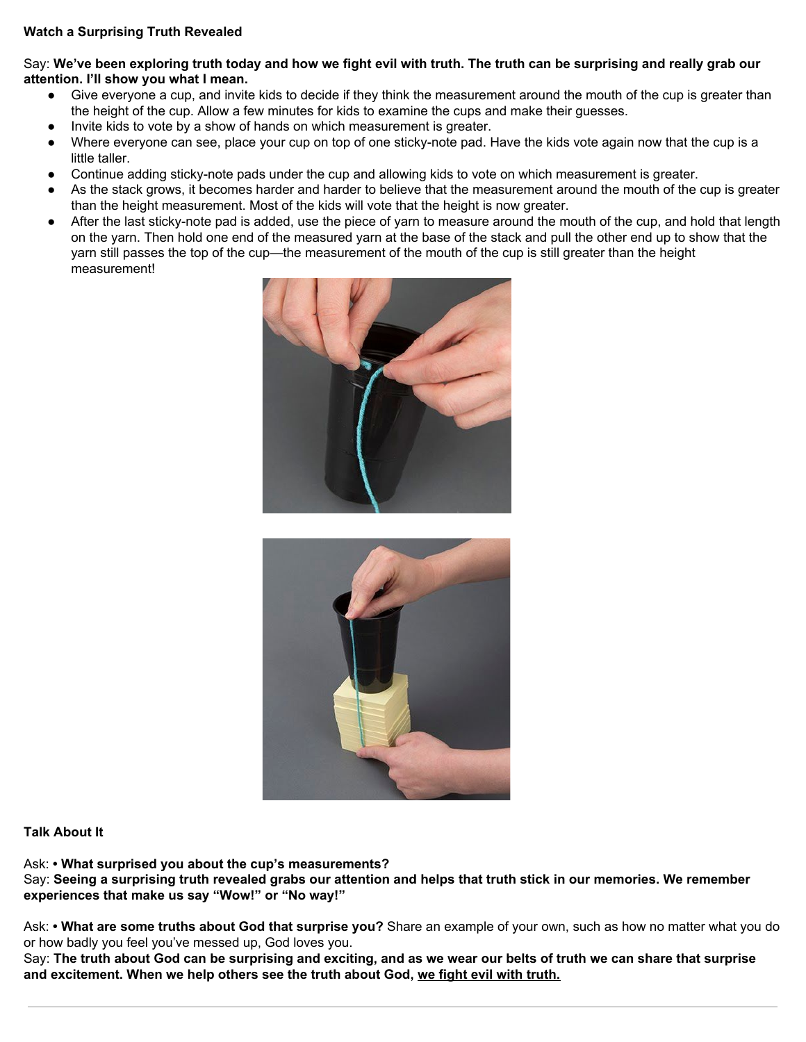### **Watch a Surprising Truth Revealed**

Say: We've been exploring truth today and how we fight evil with truth. The truth can be surprising and really grab our **attention. I'll show you what I mean.**

- Give everyone a cup, and invite kids to decide if they think the measurement around the mouth of the cup is greater than the height of the cup. Allow a few minutes for kids to examine the cups and make their guesses.
- Invite kids to vote by a show of hands on which measurement is greater.
- Where everyone can see, place your cup on top of one sticky-note pad. Have the kids vote again now that the cup is a little taller.
- Continue adding sticky-note pads under the cup and allowing kids to vote on which measurement is greater.
- As the stack grows, it becomes harder and harder to believe that the measurement around the mouth of the cup is greater than the height measurement. Most of the kids will vote that the height is now greater.
- After the last sticky-note pad is added, use the piece of yarn to measure around the mouth of the cup, and hold that length on the yarn. Then hold one end of the measured yarn at the base of the stack and pull the other end up to show that the yarn still passes the top of the cup—the measurement of the mouth of the cup is still greater than the height measurement!





#### **Talk About It**

Ask: **• What surprised you about the cup's measurements?** Say: Seeing a surprising truth revealed grabs our attention and helps that truth stick in our memories. We remember **experiences that make us say "Wow!" or "No way!"**

Ask: **• What are some truths about God that surprise you?** Share an example of your own, such as how no matter what you do or how badly you feel you've messed up, God loves you.

Say: The truth about God can be surprising and exciting, and as we wear our belts of truth we can share that surprise **and excitement. When we help others see the truth about God, we fight evil with truth.**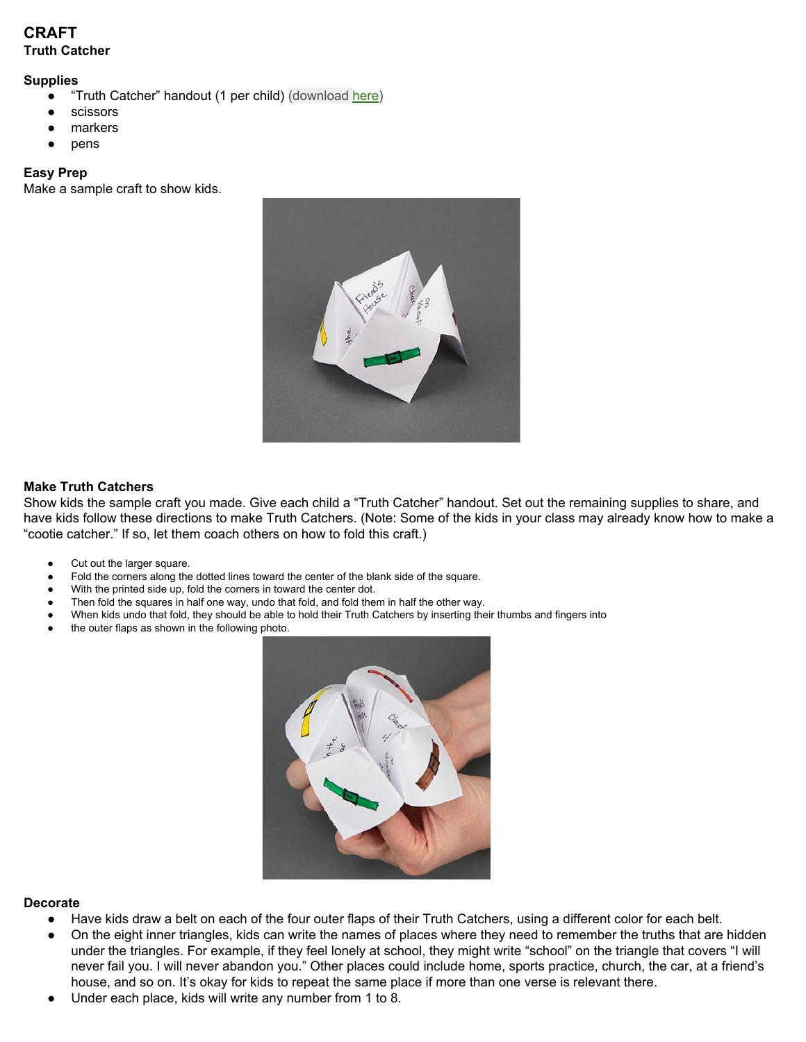# **CRAFT Truth Catcher**

#### **Supplies**

- "Truth Catcher" handout (1 per child) (download [here\)](https://digin-resources.group.com/media/10829/q3_lesson-01_truth-cards_handout.pdf)
- scissors
- markers
- pens

#### **Easy Prep**

Make a sample craft to show kids.



#### **Make Truth Catchers**

Show kids the sample craft you made. Give each child a "Truth Catcher" handout. Set out the remaining supplies to share, and have kids follow these directions to make Truth Catchers. (Note: Some of the kids in your class may already know how to make a "cootie catcher." If so, let them coach others on how to fold this craft.)

- Cut out the larger square.
- Fold the corners along the dotted lines toward the center of the blank side of the square.
- With the printed side up, fold the corners in toward the center dot.
- Then fold the squares in half one way, undo that fold, and fold them in half the other way.
- When kids undo that fold, they should be able to hold their Truth Catchers by inserting their thumbs and fingers into
- the outer flaps as shown in the following photo.



#### **Decorate**

- Have kids draw a belt on each of the four outer flaps of their Truth Catchers, using a different color for each belt.
- On the eight inner triangles, kids can write the names of places where they need to remember the truths that are hidden under the triangles. For example, if they feel lonely at school, they might write "school" on the triangle that covers "I will never fail you. I will never abandon you." Other places could include home, sports practice, church, the car, at a friend's house, and so on. It's okay for kids to repeat the same place if more than one verse is relevant there.
- Under each place, kids will write any number from 1 to 8.